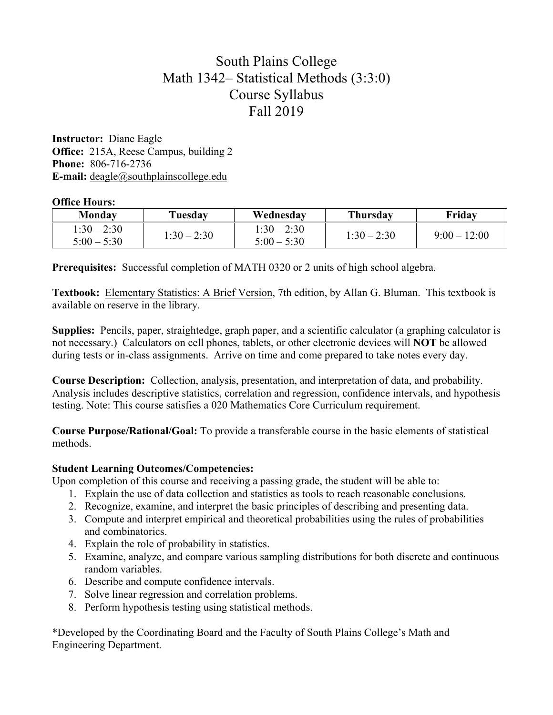# South Plains College Math 1342– Statistical Methods (3:3:0) Course Syllabus Fall 2019

**Instructor:** Diane Eagle **Office:** 215A, Reese Campus, building 2 **Phone:** 806-716-2736 **E-mail:** deagle@southplainscollege.edu

### **Office Hours:**

| Monday                         | Tuesday       | Wednesday                      | <b>Thursday</b> | Friday       |
|--------------------------------|---------------|--------------------------------|-----------------|--------------|
| $1:30 - 2:30$<br>$5:00 - 5:30$ | $1:30 - 2:30$ | $1:30 - 2:30$<br>$5:00 - 5:30$ | $1:30 - 2:30$   | $9:00-12:00$ |

**Prerequisites:** Successful completion of MATH 0320 or 2 units of high school algebra.

**Textbook:** Elementary Statistics: A Brief Version, 7th edition, by Allan G. Bluman. This textbook is available on reserve in the library.

**Supplies:** Pencils, paper, straightedge, graph paper, and a scientific calculator (a graphing calculator is not necessary.) Calculators on cell phones, tablets, or other electronic devices will **NOT** be allowed during tests or in-class assignments. Arrive on time and come prepared to take notes every day.

**Course Description:** Collection, analysis, presentation, and interpretation of data, and probability. Analysis includes descriptive statistics, correlation and regression, confidence intervals, and hypothesis testing. Note: This course satisfies a 020 Mathematics Core Curriculum requirement.

**Course Purpose/Rational/Goal:** To provide a transferable course in the basic elements of statistical methods.

## **Student Learning Outcomes/Competencies:**

Upon completion of this course and receiving a passing grade, the student will be able to:

- 1. Explain the use of data collection and statistics as tools to reach reasonable conclusions.
- 2. Recognize, examine, and interpret the basic principles of describing and presenting data.
- 3. Compute and interpret empirical and theoretical probabilities using the rules of probabilities and combinatorics.
- 4. Explain the role of probability in statistics.
- 5. Examine, analyze, and compare various sampling distributions for both discrete and continuous random variables.
- 6. Describe and compute confidence intervals.
- 7. Solve linear regression and correlation problems.
- 8. Perform hypothesis testing using statistical methods.

\*Developed by the Coordinating Board and the Faculty of South Plains College's Math and Engineering Department.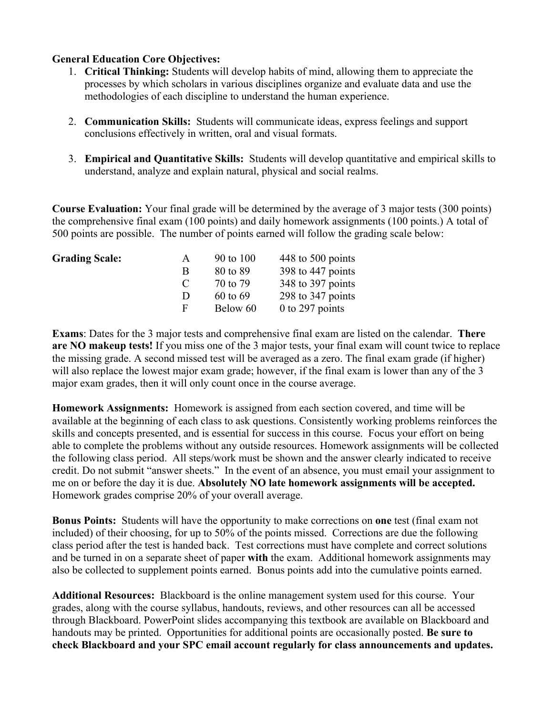### **General Education Core Objectives:**

- 1. **Critical Thinking:** Students will develop habits of mind, allowing them to appreciate the processes by which scholars in various disciplines organize and evaluate data and use the methodologies of each discipline to understand the human experience.
- 2. **Communication Skills:** Students will communicate ideas, express feelings and support conclusions effectively in written, oral and visual formats.
- 3. **Empirical and Quantitative Skills:** Students will develop quantitative and empirical skills to understand, analyze and explain natural, physical and social realms.

**Course Evaluation:** Your final grade will be determined by the average of 3 major tests (300 points) the comprehensive final exam (100 points) and daily homework assignments (100 points.) A total of 500 points are possible. The number of points earned will follow the grading scale below:

| <b>Grading Scale:</b> | $\mathsf{A}$ | 90 to 100    | 448 to 500 points |
|-----------------------|--------------|--------------|-------------------|
|                       | B            | 80 to 89     | 398 to 447 points |
|                       | $\Gamma$     | 70 to 79     | 348 to 397 points |
|                       | D            | $60$ to $69$ | 298 to 347 points |
|                       | F            | Below 60     | $0$ to 297 points |
|                       |              |              |                   |

**Exams**: Dates for the 3 major tests and comprehensive final exam are listed on the calendar. **There are NO makeup tests!** If you miss one of the 3 major tests, your final exam will count twice to replace the missing grade. A second missed test will be averaged as a zero. The final exam grade (if higher) will also replace the lowest major exam grade; however, if the final exam is lower than any of the 3 major exam grades, then it will only count once in the course average.

**Homework Assignments:** Homework is assigned from each section covered, and time will be available at the beginning of each class to ask questions. Consistently working problems reinforces the skills and concepts presented, and is essential for success in this course. Focus your effort on being able to complete the problems without any outside resources. Homework assignments will be collected the following class period. All steps/work must be shown and the answer clearly indicated to receive credit. Do not submit "answer sheets." In the event of an absence, you must email your assignment to me on or before the day it is due. **Absolutely NO late homework assignments will be accepted.**  Homework grades comprise 20% of your overall average.

**Bonus Points:** Students will have the opportunity to make corrections on **one** test (final exam not included) of their choosing, for up to 50% of the points missed. Corrections are due the following class period after the test is handed back. Test corrections must have complete and correct solutions and be turned in on a separate sheet of paper **with** the exam. Additional homework assignments may also be collected to supplement points earned. Bonus points add into the cumulative points earned.

**Additional Resources:** Blackboard is the online management system used for this course. Your grades, along with the course syllabus, handouts, reviews, and other resources can all be accessed through Blackboard. PowerPoint slides accompanying this textbook are available on Blackboard and handouts may be printed. Opportunities for additional points are occasionally posted. **Be sure to check Blackboard and your SPC email account regularly for class announcements and updates.**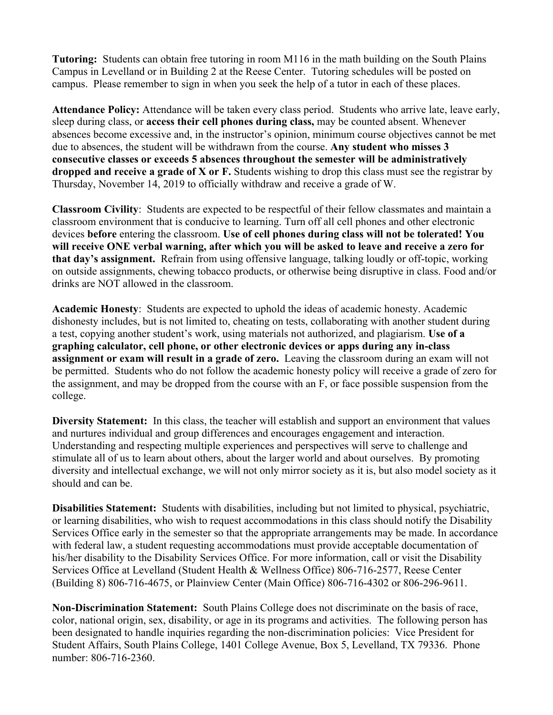**Tutoring:** Students can obtain free tutoring in room M116 in the math building on the South Plains Campus in Levelland or in Building 2 at the Reese Center. Tutoring schedules will be posted on campus. Please remember to sign in when you seek the help of a tutor in each of these places.

**Attendance Policy:** Attendance will be taken every class period. Students who arrive late, leave early, sleep during class, or **access their cell phones during class,** may be counted absent. Whenever absences become excessive and, in the instructor's opinion, minimum course objectives cannot be met due to absences, the student will be withdrawn from the course. **Any student who misses 3 consecutive classes or exceeds 5 absences throughout the semester will be administratively dropped and receive a grade of X or F.** Students wishing to drop this class must see the registrar by Thursday, November 14, 2019 to officially withdraw and receive a grade of W.

**Classroom Civility**:Students are expected to be respectful of their fellow classmates and maintain a classroom environment that is conducive to learning. Turn off all cell phones and other electronic devices **before** entering the classroom. **Use of cell phones during class will not be tolerated! You will receive ONE verbal warning, after which you will be asked to leave and receive a zero for that day's assignment.** Refrain from using offensive language, talking loudly or off-topic, working on outside assignments, chewing tobacco products, or otherwise being disruptive in class. Food and/or drinks are NOT allowed in the classroom.

**Academic Honesty**: Students are expected to uphold the ideas of academic honesty. Academic dishonesty includes, but is not limited to, cheating on tests, collaborating with another student during a test, copying another student's work, using materials not authorized, and plagiarism. **Use of a graphing calculator, cell phone, or other electronic devices or apps during any in-class assignment or exam will result in a grade of zero.** Leaving the classroom during an exam will not be permitted. Students who do not follow the academic honesty policy will receive a grade of zero for the assignment, and may be dropped from the course with an F, or face possible suspension from the college.

**Diversity Statement:** In this class, the teacher will establish and support an environment that values and nurtures individual and group differences and encourages engagement and interaction. Understanding and respecting multiple experiences and perspectives will serve to challenge and stimulate all of us to learn about others, about the larger world and about ourselves. By promoting diversity and intellectual exchange, we will not only mirror society as it is, but also model society as it should and can be.

**Disabilities Statement:** Students with disabilities, including but not limited to physical, psychiatric, or learning disabilities, who wish to request accommodations in this class should notify the Disability Services Office early in the semester so that the appropriate arrangements may be made. In accordance with federal law, a student requesting accommodations must provide acceptable documentation of his/her disability to the Disability Services Office. For more information, call or visit the Disability Services Office at Levelland (Student Health & Wellness Office) 806-716-2577, Reese Center (Building 8) 806-716-4675, or Plainview Center (Main Office) 806-716-4302 or 806-296-9611.

**Non-Discrimination Statement:** South Plains College does not discriminate on the basis of race, color, national origin, sex, disability, or age in its programs and activities. The following person has been designated to handle inquiries regarding the non-discrimination policies: Vice President for Student Affairs, South Plains College, 1401 College Avenue, Box 5, Levelland, TX 79336. Phone number: 806-716-2360.